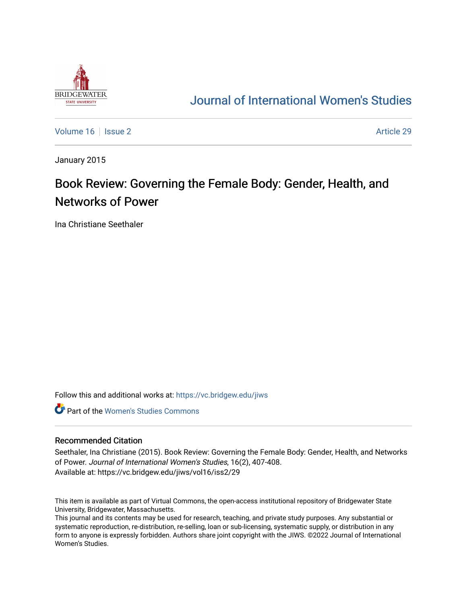

## [Journal of International Women's Studies](https://vc.bridgew.edu/jiws)

[Volume 16](https://vc.bridgew.edu/jiws/vol16) September 2 Article 29

January 2015

# Book Review: Governing the Female Body: Gender, Health, and Networks of Power

Ina Christiane Seethaler

Follow this and additional works at: [https://vc.bridgew.edu/jiws](https://vc.bridgew.edu/jiws?utm_source=vc.bridgew.edu%2Fjiws%2Fvol16%2Fiss2%2F29&utm_medium=PDF&utm_campaign=PDFCoverPages)

**C** Part of the Women's Studies Commons

#### Recommended Citation

Seethaler, Ina Christiane (2015). Book Review: Governing the Female Body: Gender, Health, and Networks of Power. Journal of International Women's Studies, 16(2), 407-408. Available at: https://vc.bridgew.edu/jiws/vol16/iss2/29

This item is available as part of Virtual Commons, the open-access institutional repository of Bridgewater State University, Bridgewater, Massachusetts.

This journal and its contents may be used for research, teaching, and private study purposes. Any substantial or systematic reproduction, re-distribution, re-selling, loan or sub-licensing, systematic supply, or distribution in any form to anyone is expressly forbidden. Authors share joint copyright with the JIWS. ©2022 Journal of International Women's Studies.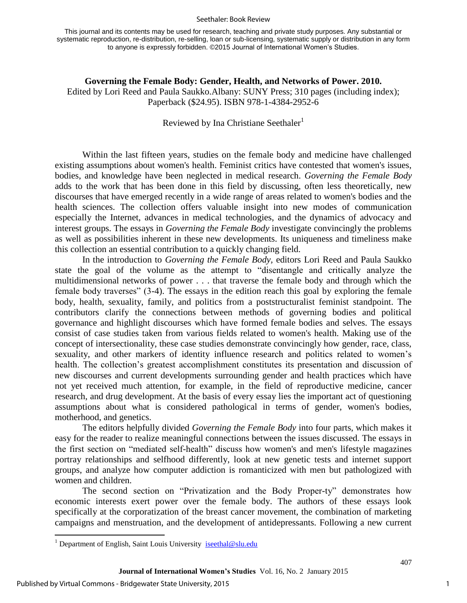#### Seethaler: Book Review

This journal and its contents may be used for research, teaching and private study purposes. Any substantial or systematic reproduction, re-distribution, re-selling, loan or sub-licensing, systematic supply or distribution in any form to anyone is expressly forbidden. ©2015 Journal of International Women's Studies.

**Governing the Female Body: Gender, Health, and Networks of Power. 2010.** Edited by Lori Reed and Paula Saukko.Albany: SUNY Press; 310 pages (including index); Paperback (\$24.95). ISBN 978-1-4384-2952-6

### Reviewed by Ina Christiane Seethaler<sup>1</sup>

Within the last fifteen years, studies on the female body and medicine have challenged existing assumptions about women's health. Feminist critics have contested that women's issues, bodies, and knowledge have been neglected in medical research. *Governing the Female Body*  adds to the work that has been done in this field by discussing, often less theoretically, new discourses that have emerged recently in a wide range of areas related to women's bodies and the health sciences. The collection offers valuable insight into new modes of communication especially the Internet, advances in medical technologies, and the dynamics of advocacy and interest groups. The essays in *Governing the Female Body* investigate convincingly the problems as well as possibilities inherent in these new developments. Its uniqueness and timeliness make this collection an essential contribution to a quickly changing field.

In the introduction to *Governing the Female Body,* editors Lori Reed and Paula Saukko state the goal of the volume as the attempt to "disentangle and critically analyze the multidimensional networks of power . . . that traverse the female body and through which the female body traverses" (3-4). The essays in the edition reach this goal by exploring the female body, health, sexuality, family, and politics from a poststructuralist feminist standpoint. The contributors clarify the connections between methods of governing bodies and political governance and highlight discourses which have formed female bodies and selves. The essays consist of case studies taken from various fields related to women's health. Making use of the concept of intersectionality, these case studies demonstrate convincingly how gender, race, class, sexuality, and other markers of identity influence research and politics related to women's health. The collection's greatest accomplishment constitutes its presentation and discussion of new discourses and current developments surrounding gender and health practices which have not yet received much attention, for example, in the field of reproductive medicine, cancer research, and drug development. At the basis of every essay lies the important act of questioning assumptions about what is considered pathological in terms of gender, women's bodies, motherhood, and genetics.

The editors helpfully divided *Governing the Female Body* into four parts, which makes it easy for the reader to realize meaningful connections between the issues discussed. The essays in the first section on "mediated self-health" discuss how women's and men's lifestyle magazines portray relationships and selfhood differently, look at new genetic tests and internet support groups, and analyze how computer addiction is romanticized with men but pathologized with women and children.

The second section on "Privatization and the Body Proper-ty" demonstrates how economic interests exert power over the female body. The authors of these essays look specifically at the corporatization of the breast cancer movement, the combination of marketing campaigns and menstruation, and the development of antidepressants. Following a new current

 $\overline{a}$ 

1

<sup>&</sup>lt;sup>1</sup> Department of English, Saint Louis University **[iseethal@slu.edu](mailto:iseethal@slu.edu)**